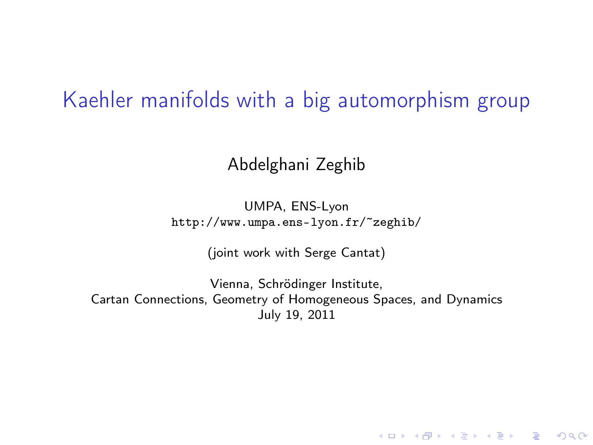### Kaehler manifolds with a big automorphism group

### Abdelghani Zeghib

#### UMPA, ENS-Lyon <http://www.umpa.ens-lyon.fr/~zeghib/>

(joint work with Serge Cantat)

Vienna, Schrödinger Institute, Cartan Connections, Geometry of Homogeneous Spaces, and Dynamics July 19, 2011

**A DIA K PIA K E A LE A DIA K E A VION**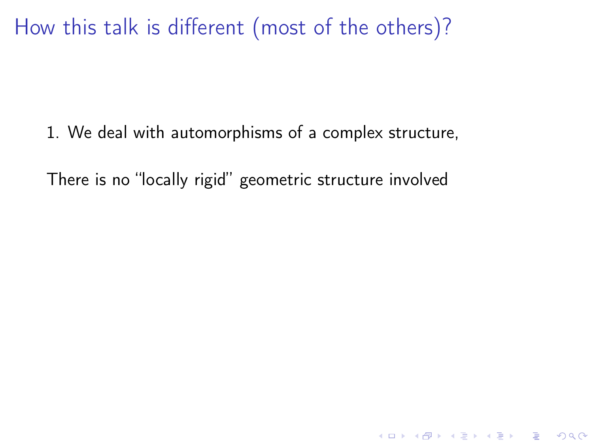How this talk is different (most of the others)?

1. We deal with automorphisms of a complex structure,

There is no "locally rigid" geometric structure involved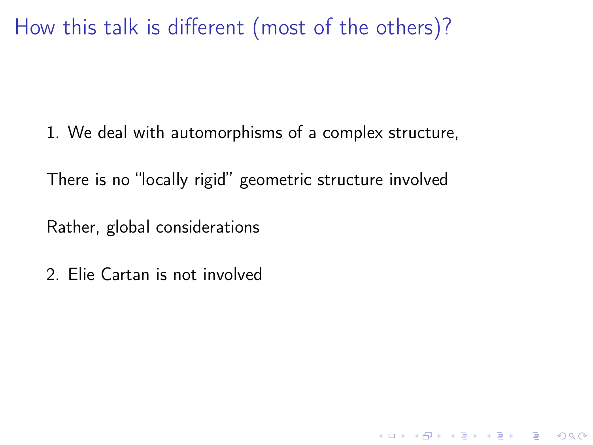How this talk is different (most of the others)?

- 1. We deal with automorphisms of a complex structure,
- There is no "locally rigid" geometric structure involved

- Rather, global considerations
- 2. Elie Cartan is not involved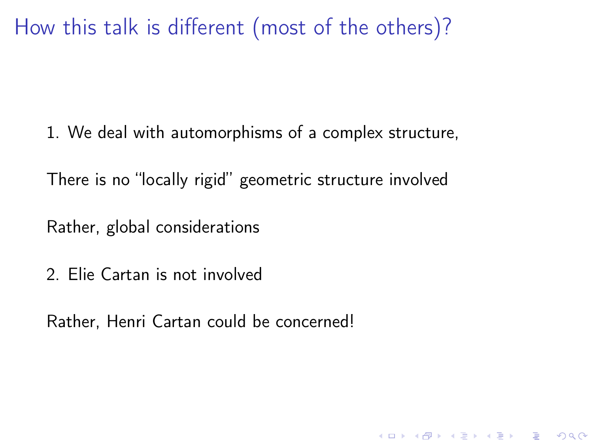How this talk is different (most of the others)?

- 1. We deal with automorphisms of a complex structure,
- There is no "locally rigid" geometric structure involved

Rather, global considerations

2. Elie Cartan is not involved

Rather, Henri Cartan could be concerned!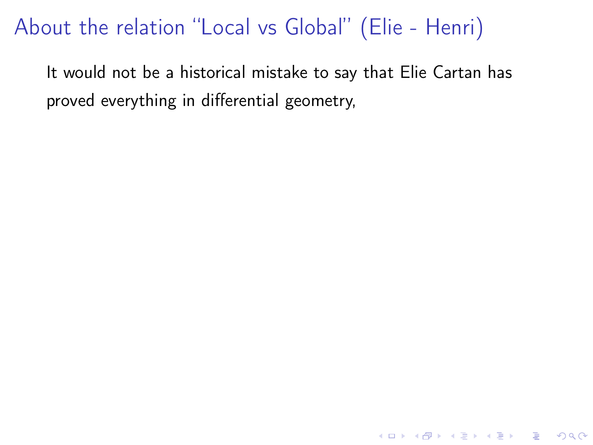It would not be a historical mistake to say that Elie Cartan has proved everything in differential geometry,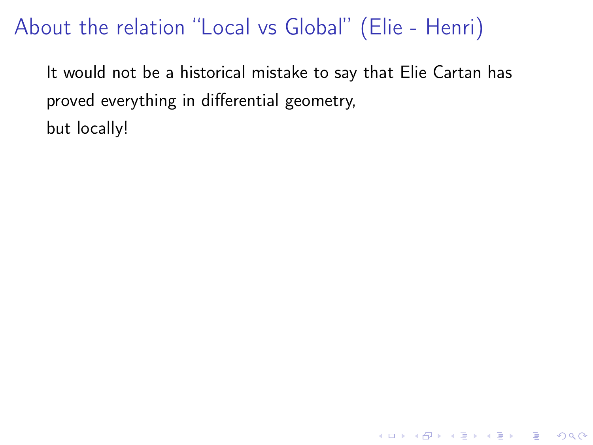It would not be a historical mistake to say that Elie Cartan has proved everything in differential geometry, but locally!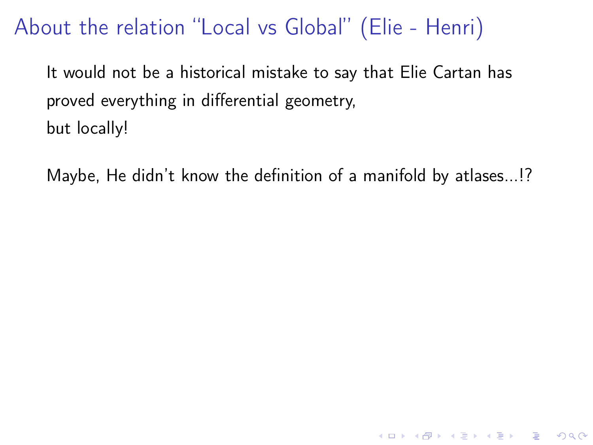It would not be a historical mistake to say that Elie Cartan has proved everything in differential geometry, but locally!

Maybe, He didn't know the definition of a manifold by atlases...!?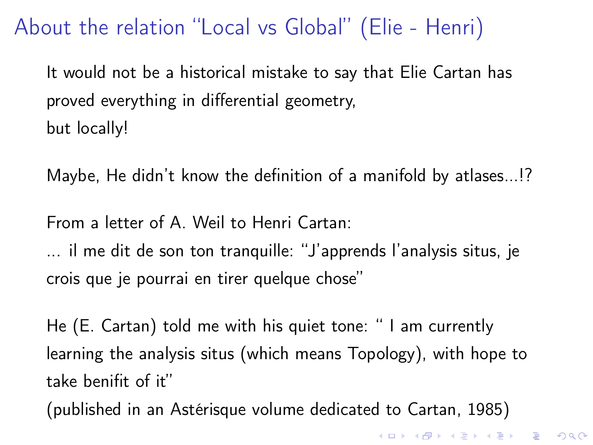It would not be a historical mistake to say that Elie Cartan has proved everything in differential geometry, but locally!

Maybe, He didn't know the definition of a manifold by atlases...!?

From a letter of A. Weil to Henri Cartan:

... il me dit de son ton tranquille: "J'apprends l'analysis situs, je crois que je pourrai en tirer quelque chose"

He (E. Cartan) told me with his quiet tone: " I am currently learning the analysis situs (which means Topology), with hope to take benifit of it"

(published in an Astérisque volume dedicated to Cartan, 1985)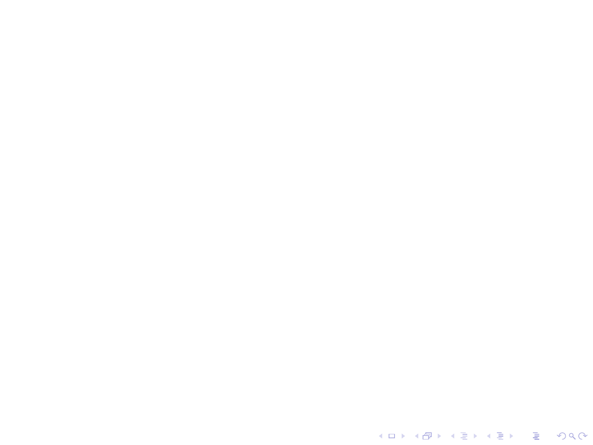イロト イ部ト イミド イミド ニミー のんぴ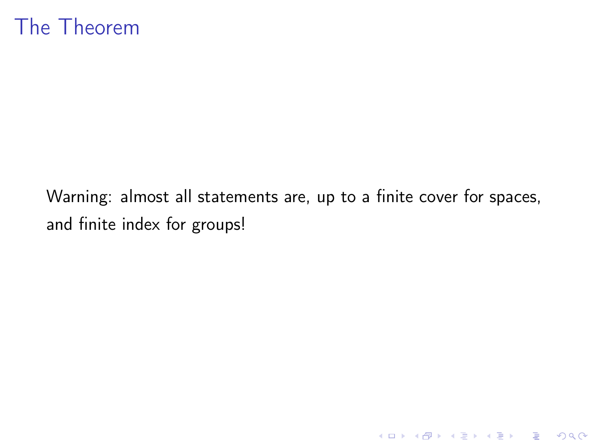### The Theorem

### Warning: almost all statements are, up to a finite cover for spaces, and finite index for groups!

K □ ▶ K @ ▶ K 할 X K 할 X | 할 X 1 9 Q Q \*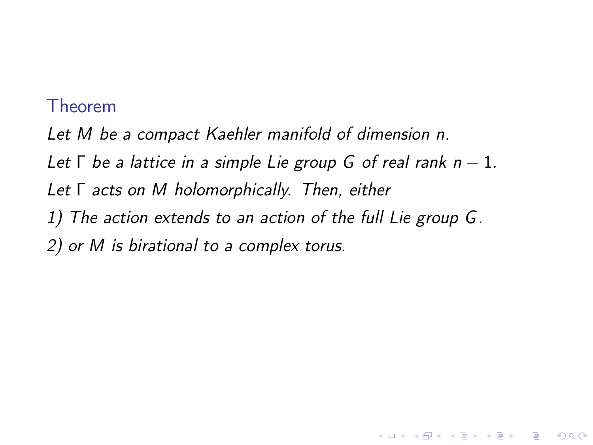### Theorem

Let M be a compact Kaehler manifold of dimension n. Let  $\Gamma$  be a lattice in a simple Lie group G of real rank  $n-1$ . Let Γ acts on M holomorphically. Then, either 1) The action extends to an action of the full Lie group G. 2) or M is birational to a complex torus.

KEL KARIK KEL KEL KARIK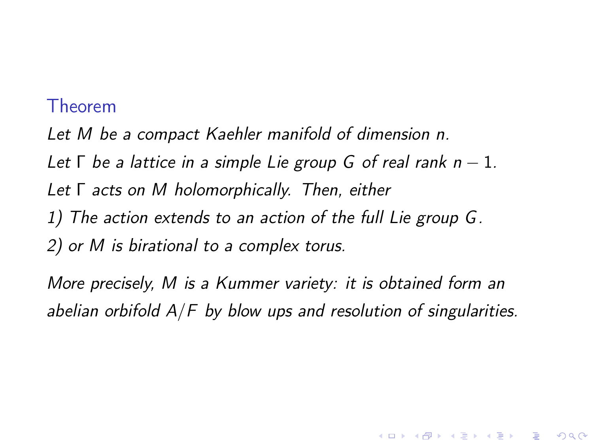### Theorem

Let M be a compact Kaehler manifold of dimension n. Let  $\Gamma$  be a lattice in a simple Lie group G of real rank  $n-1$ . Let Γ acts on M holomorphically. Then, either 1) The action extends to an action of the full Lie group G. 2) or M is birational to a complex torus.

More precisely, M is a Kummer variety: it is obtained form an abelian orbifold  $A/F$  by blow ups and resolution of singularities.

**KORKA REPARATION ADD**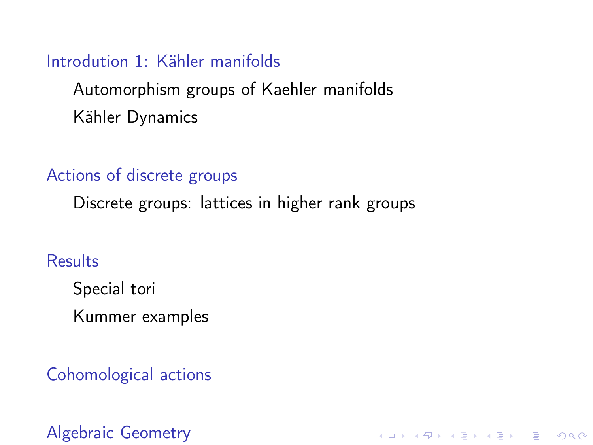### [Introdution 1: Kähler manifolds](#page-14-0)

[Automorphism groups of Kaehler manifolds](#page-15-0) [Kähler Dynamics](#page-24-0)

#### [Actions of discrete groups](#page-31-0)

[Discrete groups: lattices in higher rank groups](#page-32-0)

**KOD KARD KED KED E VOOR** 

### **[Results](#page-42-0)**

[Special tori](#page-44-0) [Kummer examples](#page-56-0)

[Cohomological actions](#page-61-0)

[Algebraic Geometry](#page-81-0)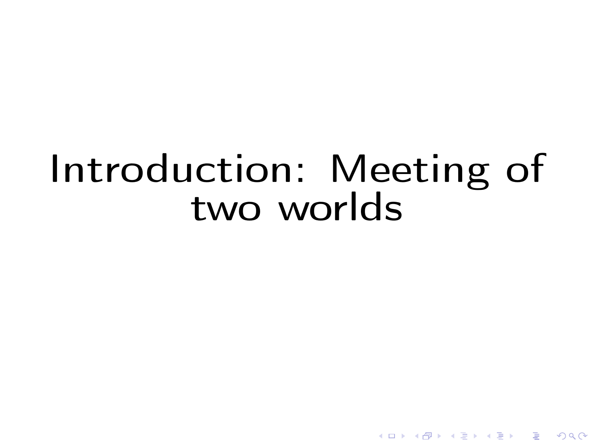## Introduction: Meeting of two worlds

**KORK (FRAGE) KERK EL POLO**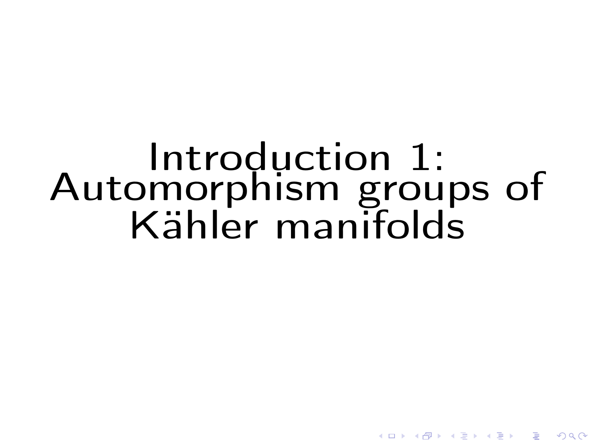## <span id="page-14-0"></span>Introduction 1: Automorphism groups of Kähler manifolds

**KOD KOD KED KED E YORA**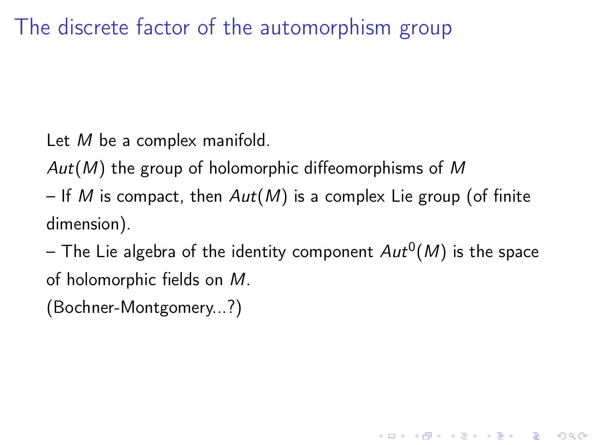The discrete factor of the automorphism group

Let M be a complex manifold.

 $Aut(M)$  the group of holomorphic diffeomorphisms of M

– If M is compact, then  $Aut(M)$  is a complex Lie group (of finite dimension).

– The Lie algebra of the identity component  $\mathit{Aut}^0(M)$  is the space of holomorphic fields on M.

**KORKA REPARATION ADD** 

<span id="page-15-0"></span>(Bochner-Montgomery...?)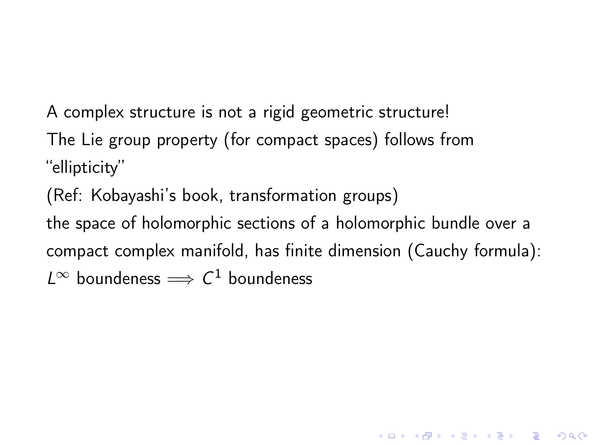A complex structure is not a rigid geometric structure!

The Lie group property (for compact spaces) follows from "ellipticity"

(Ref: Kobayashi's book, transformation groups)

the space of holomorphic sections of a holomorphic bundle over a compact complex manifold, has finite dimension (Cauchy formula):  $L^{\infty}$  boundeness  $\Longrightarrow$   $C^{1}$  boundeness

**KORKA REPARATION ADD**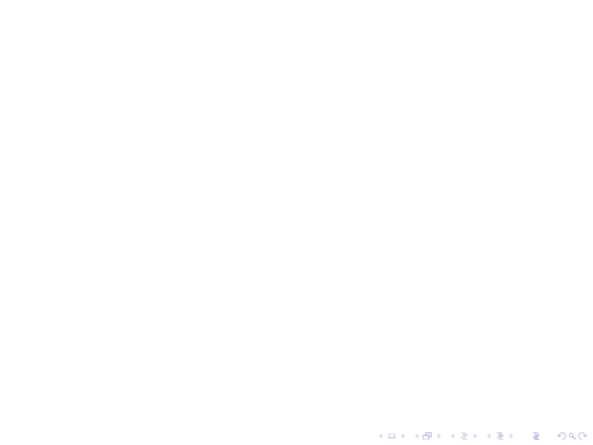イロト イ部ト イミド イミド ニミー のんぴ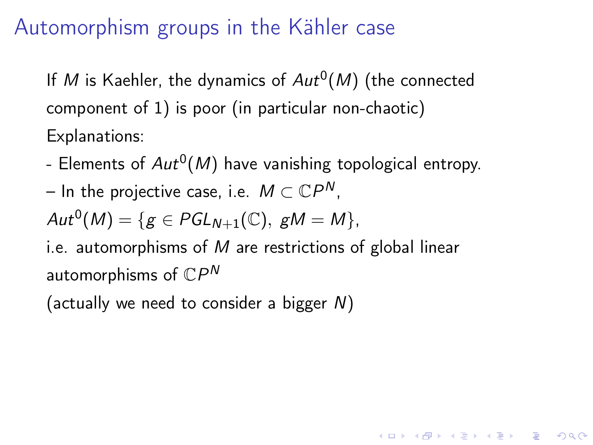## Automorphism groups in the Kähler case

- If  $M$  is Kaehler, the dynamics of  $\text{\it Aut}^0(M)$  (the connected component of 1) is poor (in particular non-chaotic) Explanations:
- Elements of  $\textit{Aut}^0(M)$  have vanishing topological entropy.
- $-$  In the projective case, i.e.  $\mathcal{M}\subset\mathbb{C}P^{N},$

$$
Aut^0(M) = \{g \in PGL_{N+1}(\mathbb{C}), gM = M\},\
$$

i.e. automorphisms of M are restrictions of global linear automorphisms of  $\mathbb{C}P^N$ 

4 D X 4 P X 3 X 4 B X 3 B X 9 Q Q

(actually we need to consider a bigger N)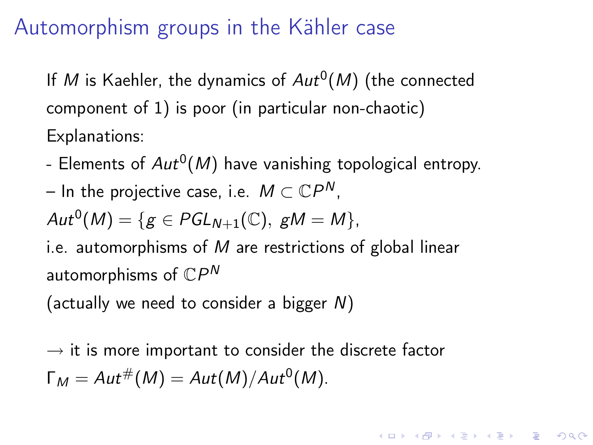### Automorphism groups in the Kähler case

- If  $M$  is Kaehler, the dynamics of  $\text{\it Aut}^0(M)$  (the connected component of 1) is poor (in particular non-chaotic) Explanations:
- Elements of  $\textit{Aut}^0(M)$  have vanishing topological entropy.
- $-$  In the projective case, i.e.  $\mathcal{M}\subset\mathbb{C}P^{N},$

$$
Aut^0(M) = \{g \in PGL_{N+1}(\mathbb{C}), gM = M\},\
$$

i.e. automorphisms of M are restrictions of global linear automorphisms of  $\mathbb{C}P^N$ 

(actually we need to consider a bigger N)

 $\rightarrow$  it is more important to consider the discrete factor  $\mathsf{\Gamma}_M = \mathsf{Aut}^{\#}(M) = \mathsf{Aut}(M)/\mathsf{Aut}^0(M).$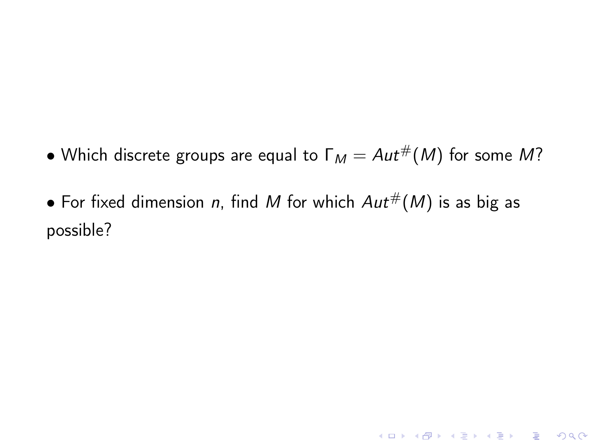- Which discrete groups are equal to  $\Gamma_M = Aut^{\#}(M)$  for some M?
- For fixed dimension *n*, find *M* for which  $Aut^{\#}(M)$  is as big as possible?

K □ ▶ K @ ▶ K 할 ▶ K 할 ▶ | 할 | X 9 Q Q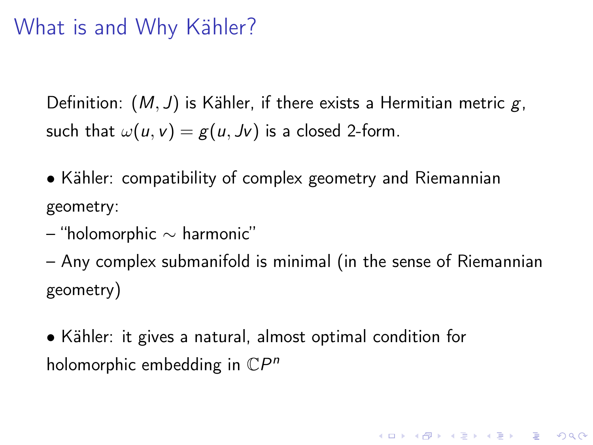### What is and Why Kähler?

Definition:  $(M, J)$  is Kähler, if there exists a Hermitian metric g, such that  $\omega(u, v) = g(u, Jv)$  is a closed 2-form.

- Kähler: compatibility of complex geometry and Riemannian geometry:
- $-$  "holomorphic  $\sim$  harmonic"
- Any complex submanifold is minimal (in the sense of Riemannian geometry)

**A DIA K PIA A BIA A BIA A Q A CA** 

• Kähler: it gives a natural, almost optimal condition for holomorphic embedding in  $\mathbb{C}P^n$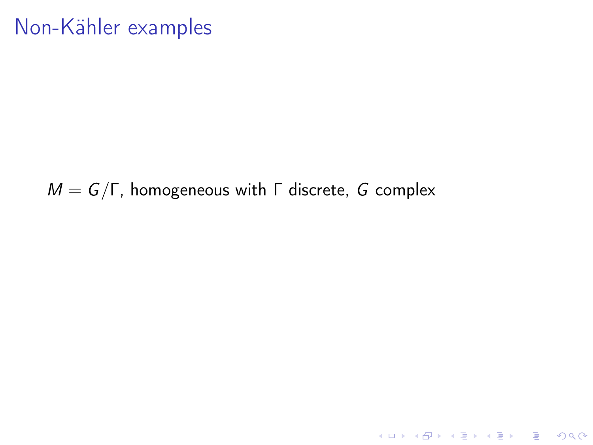### Non-Kähler examples

 $M = G/\Gamma$ , homogeneous with  $\Gamma$  discrete, G complex

K □ ▶ K @ ▶ K 할 X K 할 X | 할 X 1 9 Q Q \*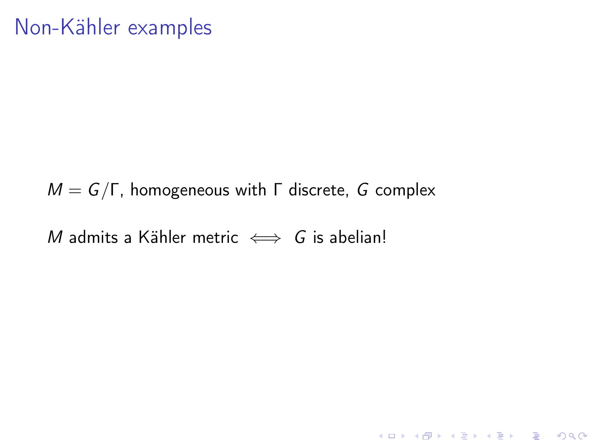### Non-Kähler examples

 $M = G/\Gamma$ , homogeneous with  $\Gamma$  discrete, G complex

K □ ▶ K @ ▶ K 할 X K 할 X | 할 X 1 9 Q Q \*

M admits a Kähler metric  $\iff$  G is abelian!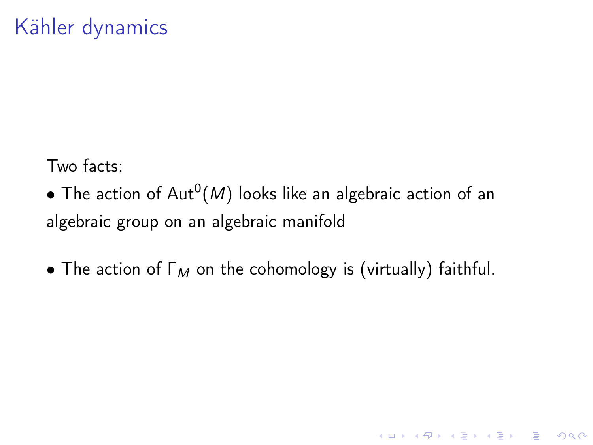Two facts:

 $\bullet$  The action of Aut $^{0}(\mathit{M})$  looks like an algebraic action of an algebraic group on an algebraic manifold

<span id="page-24-0"></span>• The action of  $\Gamma_M$  on the cohomology is (virtually) faithful.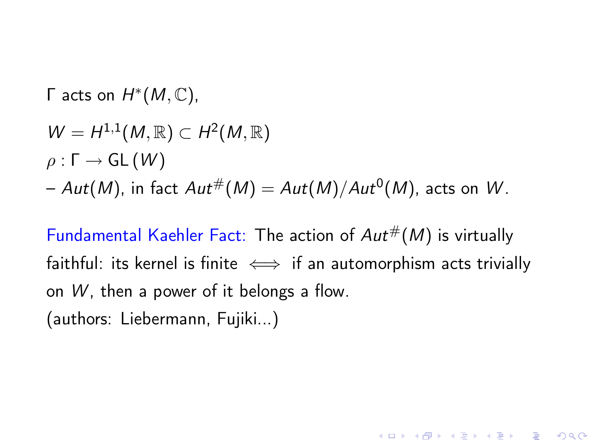$$
\begin{aligned}\n\Gamma \text{ acts on } & H^*(M, \mathbb{C}), \\
W &= H^{1,1}(M, \mathbb{R}) \subset H^2(M, \mathbb{R}) \\
\rho: \Gamma &\rightarrow \text{GL}(W) \\
&- Aut(M), \text{ in fact } Aut^{\#}(M) = Aut(M)/Aut^0(M), \text{ acts on } W.\n\end{aligned}
$$

Fundamental Kaehler Fact: The action of  $Aut^{\#}(M)$  is virtually faithful: its kernel is finite  $\iff$  if an automorphism acts trivially on  $W$ , then a power of it belongs a flow. (authors: Liebermann, Fujiki...)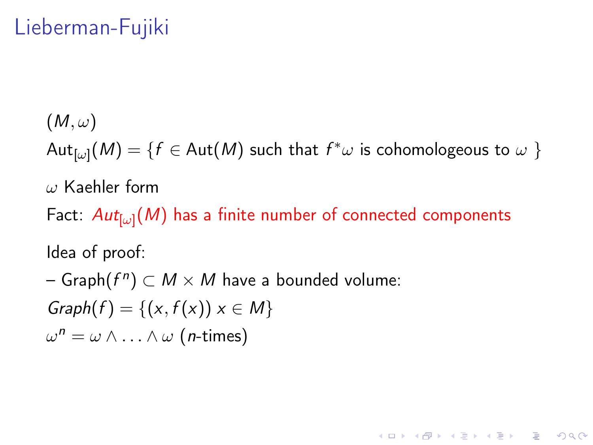### Lieberman-Fujiki

 $(M,\omega)$  ${\sf Aut}_{[\omega]}(M)=\{f\in{\sf Aut}(M) \hbox{ such that } f^*\omega \hbox{ is cohomologeous to } \omega \hbox{ } \}$ 

ω Kaehler form

Fact:  $\textit{Aut}_{[\omega]}(M)$  has a finite number of connected components

4 D X 4 P X 3 X 4 B X 3 B X 9 Q Q

Idea of proof:

– Graph $(f^n) \subset M \times M$  have a bounded volume:  $Graph(f) = \{(x, f(x)) | x \in M\}$  $\omega^{\textit{n}} = \omega \wedge \ldots \wedge \omega \text{ ( } n\text{-times)}$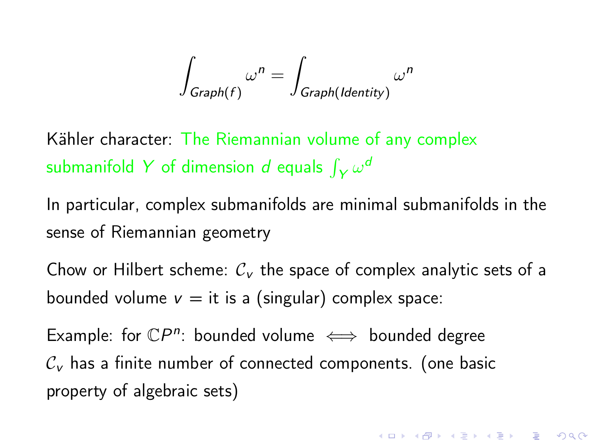$$
\int_{Graph(f)} \omega^n = \int_{Graph(Identity)} \omega^n
$$

Kähler character: The Riemannian volume of any complex submanifold  $\,Y\,$  of dimension  $\,d\,$  equals  $\int_Y\omega^d\,$ 

In particular, complex submanifolds are minimal submanifolds in the sense of Riemannian geometry

Chow or Hilbert scheme:  $\mathcal{C}_{V}$  the space of complex analytic sets of a bounded volume  $v = it$  is a (singular) complex space:

Example: for  $\mathbb{C}P^n$ : bounded volume  $\iff$  bounded degree  $\mathcal{C}_{\mathcal{V}}$  has a finite number of connected components. (one basic property of algebraic sets)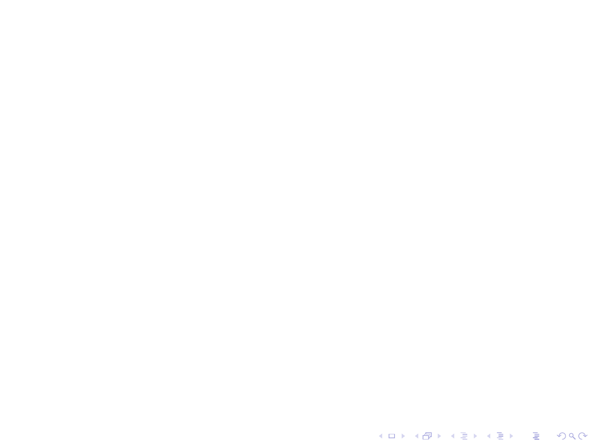イロト イ部ト イミド イミド ニミー のんぴ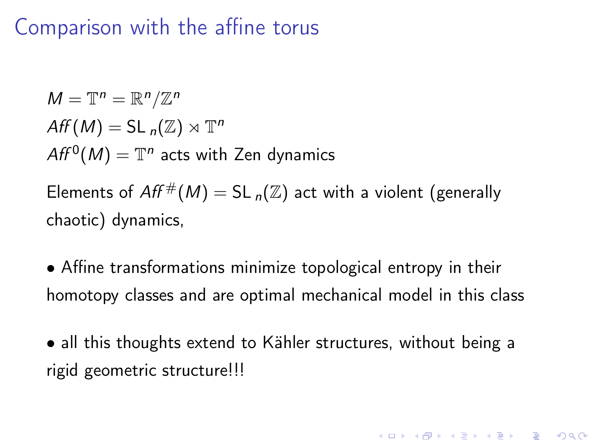### Comparison with the affine torus

 $M=\mathbb{T}^n=\mathbb{R}^n/\mathbb{Z}^n$  $Aff(M) = SL_n(\mathbb{Z}) \rtimes \mathbb{T}^n$  $\mathit{Aff}^0(M)=\mathbb{T}^n$  acts with Zen dynamics Elements of  $Aff^{\#}(M) = SL_n(\mathbb{Z})$  act with a violent (generally chaotic) dynamics,

• Affine transformations minimize topological entropy in their homotopy classes and are optimal mechanical model in this class

• all this thoughts extend to Kähler structures, without being a rigid geometric structure!!!

**ADD REAR AND A BY A GOOD**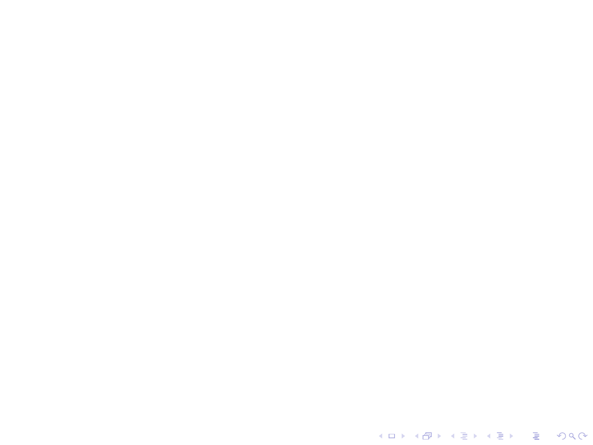イロト イ部ト イミド イミド ニミー のんぴ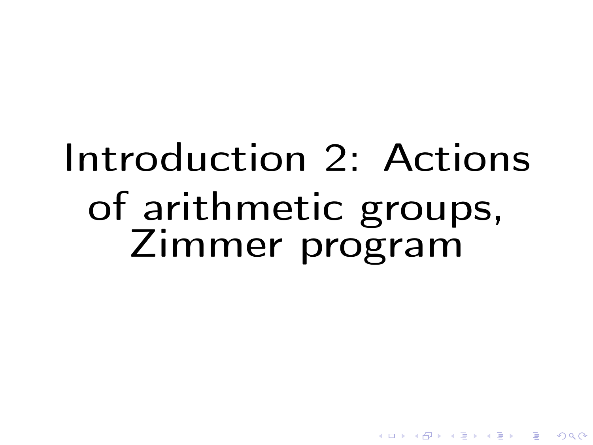# <span id="page-31-0"></span>Introduction 2: Actions of arithmetic groups, Zimmer program

**KOR & KERKER CRAMEL**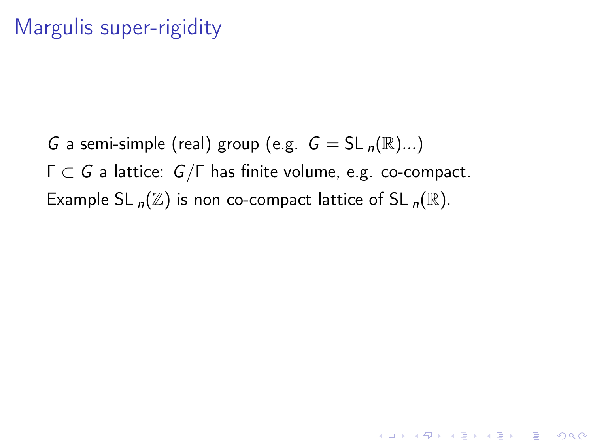## Margulis super-rigidity

<span id="page-32-0"></span>G a semi-simple (real) group (e.g.  $G = SL_n(\mathbb{R})...$ )  $\Gamma \subset G$  a lattice:  $G/\Gamma$  has finite volume, e.g. co-compact. Example SL  $_n(\mathbb{Z})$  is non co-compact lattice of SL  $_n(\mathbb{R})$ .

**KOD KARD KED KED E VOOR**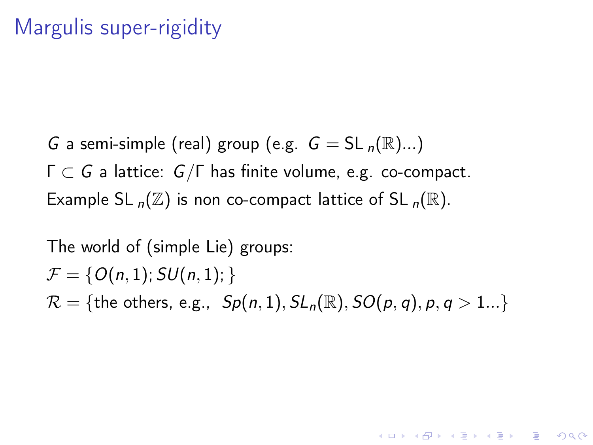## Margulis super-rigidity

G a semi-simple (real) group (e.g.  $G = SL_n(\mathbb{R})...$ )  $\Gamma \subset G$  a lattice:  $G/\Gamma$  has finite volume, e.g. co-compact. Example SL  $_n(\mathbb{Z})$  is non co-compact lattice of SL  $_n(\mathbb{R})$ .

The world of (simple Lie) groups:  $\mathcal{F} = \{ O(n, 1); SU(n, 1); \}$  $\mathcal{R} = \{\text{the others, e.g., } Sp(n, 1), SL_n(\mathbb{R}), SO(p, q), p, q > 1...\}\$ 

**KORKA REPARATION ADD**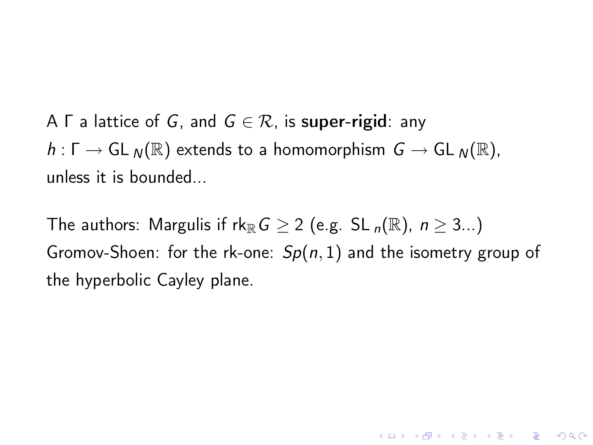A  $\Gamma$  a lattice of G, and  $G \in \mathcal{R}$ , is super-rigid: any  $h: \Gamma \to GL_N(\mathbb{R})$  extends to a homomorphism  $G \to GL_N(\mathbb{R})$ , unless it is bounded...

The authors: Margulis if  $rk_{\mathbb{R}}G \geq 2$  (e.g. SL  $_n(\mathbb{R})$ ,  $n \geq 3...$ ) Gromov-Shoen: for the rk-one:  $Sp(n,1)$  and the isometry group of the hyperbolic Cayley plane.

**KORKA REPARATION ADD**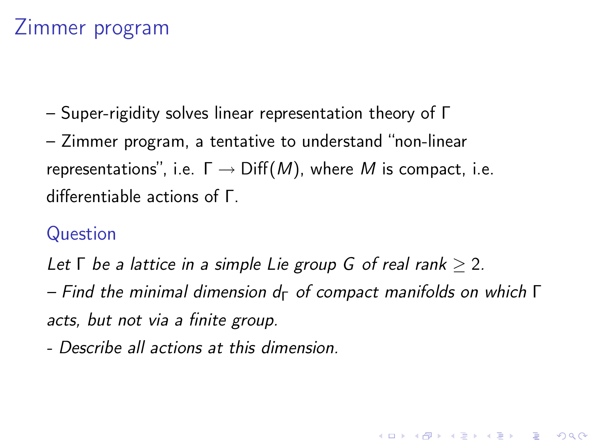### Zimmer program

- Super-rigidity solves linear representation theory of Γ
- Zimmer program, a tentative to understand "non-linear representations", i.e.  $\Gamma \rightarrow \text{Diff}(M)$ , where M is compact, i.e. differentiable actions of Γ.

### Question

- Let  $\Gamma$  be a lattice in a simple Lie group G of real rank  $\geq 2$ .
- Find the minimal dimension  $d_{\Gamma}$  of compact manifolds on which  $\Gamma$ acts, but not via a finite group.

**KORKA REPARATION ADD** 

- Describe all actions at this dimension.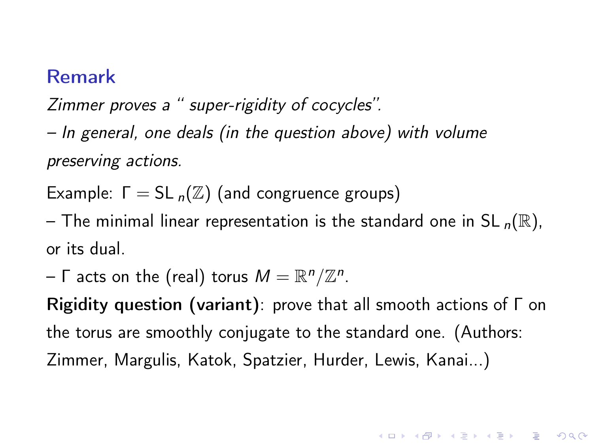### Remark

- Zimmer proves a " super-rigidity of cocycles".
- In general, one deals (in the question above) with volume preserving actions.

Example:  $\Gamma = SL_n(\mathbb{Z})$  (and congruence groups)

- The minimal linear representation is the standard one in SL  $_n(\mathbb{R})$ , or its dual.
- Γ acts on the (real) torus  $M = \mathbb{R}^n / \mathbb{Z}^n$ .

Rigidity question (variant): prove that all smooth actions of Γ on the torus are smoothly conjugate to the standard one. (Authors: Zimmer, Margulis, Katok, Spatzier, Hurder, Lewis, Kanai...)

K ロ K K (日) X X B X X B X X X X X X X B X D X O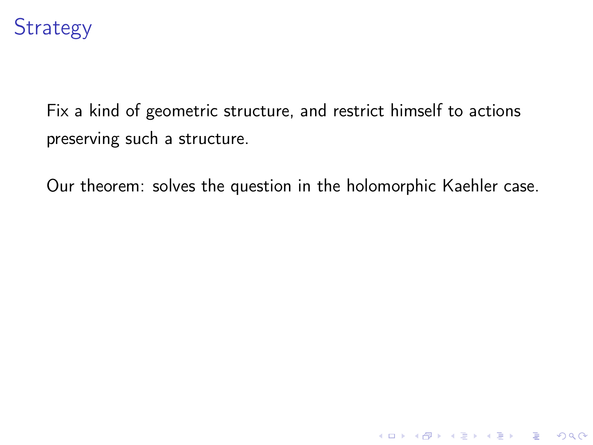# **Strategy**

Fix a kind of geometric structure, and restrict himself to actions preserving such a structure.

Our theorem: solves the question in the holomorphic Kaehler case.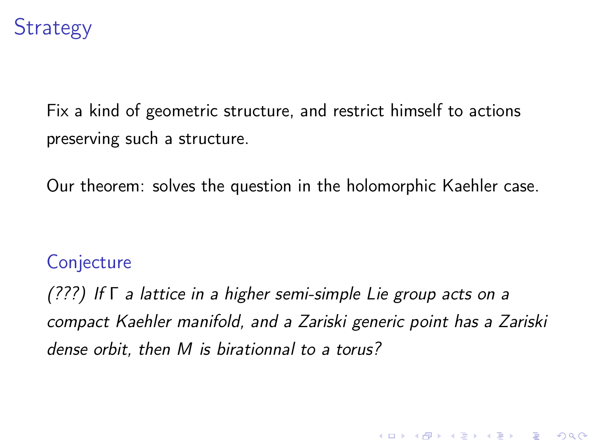# **Strategy**

Fix a kind of geometric structure, and restrict himself to actions preserving such a structure.

Our theorem: solves the question in the holomorphic Kaehler case.

### **Conjecture**

(???) If Γ a lattice in a higher semi-simple Lie group acts on a compact Kaehler manifold, and a Zariski generic point has a Zariski dense orbit, then M is birationnal to a torus?

**KORKA REPARATION ADD**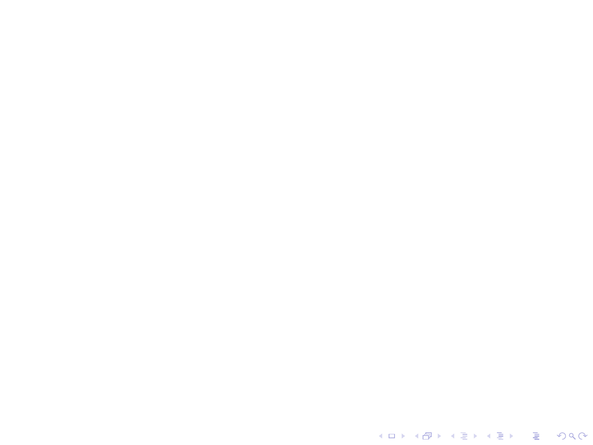イロト イ部ト イミド イミド ニミー のんぴ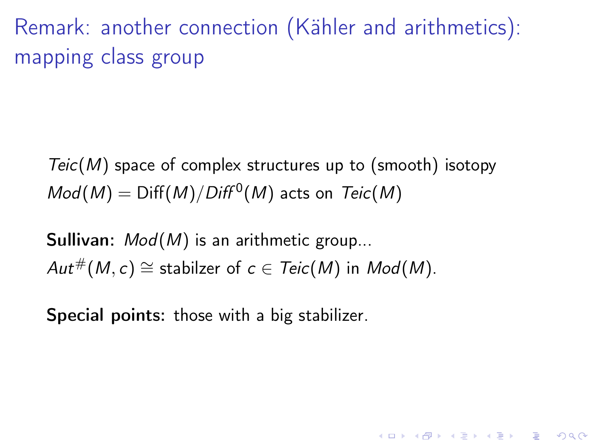Remark: another connection (Kähler and arithmetics): mapping class group

Teic(M) space of complex structures up to (smooth) isotopy  $Mod(M) = Diff(M)/Diff<sup>0</sup>(M)$  acts on  $Teic(M)$ 

**KORKAR KERKER EL VOLO** 

**Sullivan:**  $Mod(M)$  is an arithmetic group... Aut<sup>#</sup>(M, c)  $\cong$  stabilzer of c  $\in$  Teic(M) in Mod(M).

Special points: those with a big stabilizer.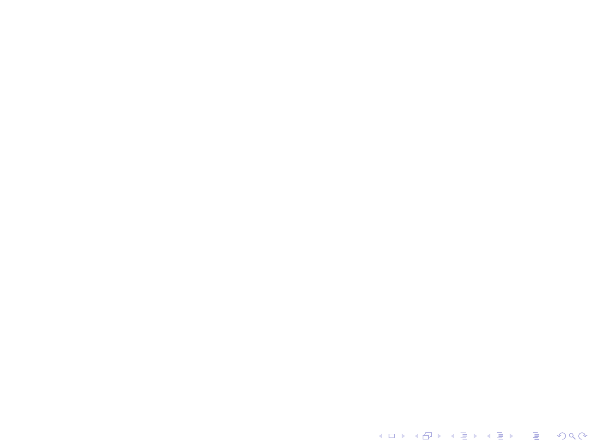イロト イ部ト イミド イミド ニミー のんぴ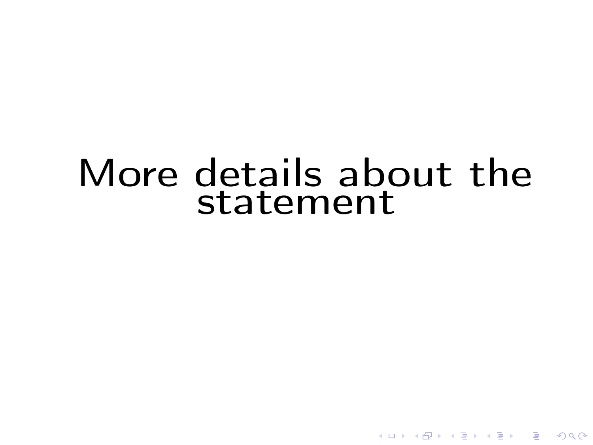# More details about the statement

K ロ ▶ K @ ▶ K 할 ▶ K 할 ▶ ① 할 → ① 익 안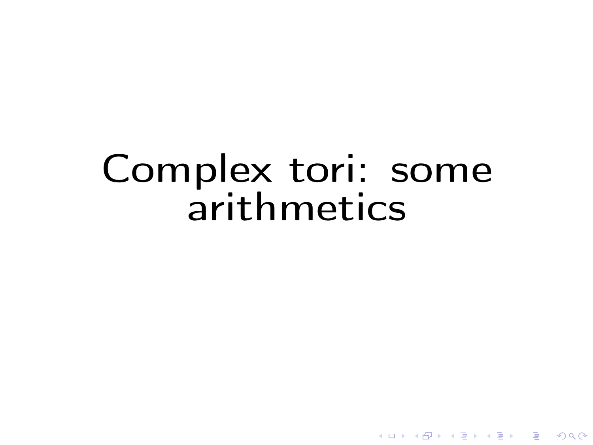# Complex tori: some arithmetics

**KORKA REPARATION ADD**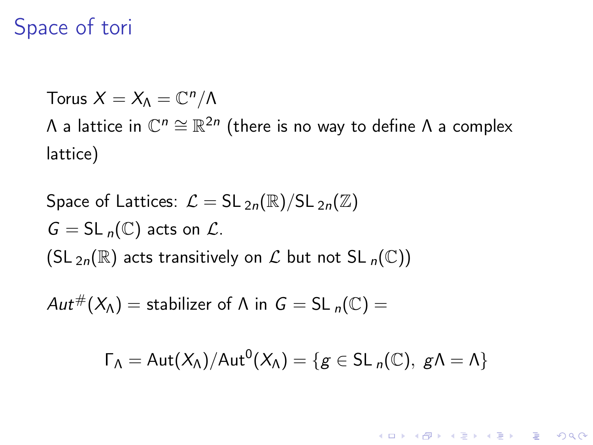# Space of tori

Torus  $X = X_{\Lambda} = \mathbb{C}^n / \Lambda$ 

Λ a lattice in  $\mathbb{C}^n \cong \mathbb{R}^{2n}$  (there is no way to define Λ a complex lattice)

Space of Lattices: 
$$
\mathcal{L} = SL_{2n}(\mathbb{R})/SL_{2n}(\mathbb{Z})
$$
  
\n $G = SL_n(\mathbb{C})$  acts on  $\mathcal{L}$ .  
\n $(SL_{2n}(\mathbb{R})$  acts transitively on  $\mathcal{L}$  but not  $SL_n(\mathbb{C})$ )

 $Aut^{\#}(X_{\Lambda}) =$  stabilizer of  $\Lambda$  in  $G = SL_n(\mathbb{C}) =$ 

$$
\Gamma_{\Lambda} = \text{Aut}(X_{\Lambda})/\text{Aut}^{0}(X_{\Lambda}) = \{g \in \text{SL}_{n}(\mathbb{C}), g\Lambda = \Lambda\}
$$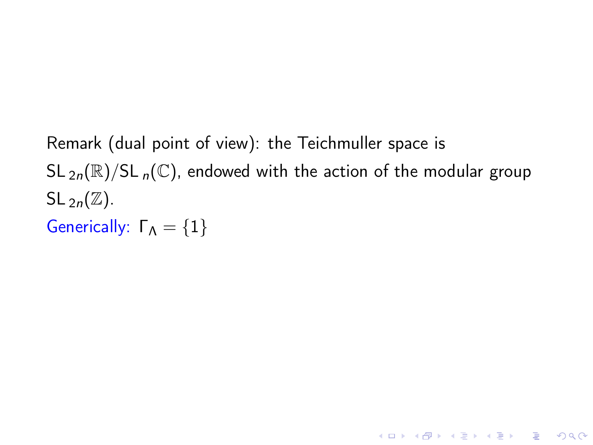Remark (dual point of view): the Teichmuller space is  $SL_{2n}(\mathbb{R})/SL_n(\mathbb{C})$ , endowed with the action of the modular group  $SL_{2n}(\mathbb{Z})$ .

Generically:  $\Gamma_{\Lambda} = \{1\}$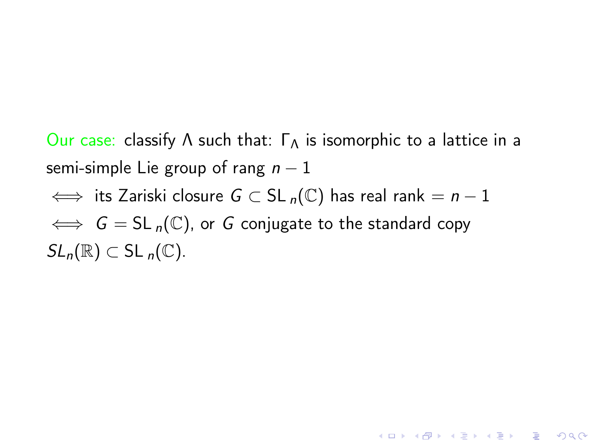Our case: classify  $Λ$  such that:  $Γ<sub>Λ</sub>$  is isomorphic to a lattice in a semi-simple Lie group of rang  $n - 1$ 

**A DIA K PIA K E A LE A DIA K E A VION** 

 $\iff$  its Zariski closure  $G \subset SL_n(\mathbb{C})$  has real rank = n - 1

 $\iff G = SL_n(\mathbb{C})$ , or G conjugate to the standard copy  $SL_n(\mathbb{R}) \subset SL_n(\mathbb{C}).$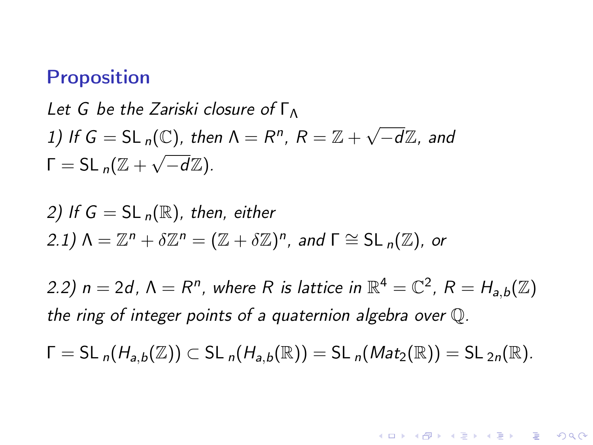#### Proposition

Let G be the Zariski closure of Γλ 1) If  $G = SL_n(\mathbb{C})$ , then  $\Lambda = R^n$ ,  $R = \mathbb{Z} + \sqrt{-d}\mathbb{Z}$ , and  $\Gamma = SL_n(\mathbb{Z} + \sqrt{-d}\mathbb{Z}).$ 

2) If 
$$
G = SL_n(\mathbb{R})
$$
, then, either  
2.1)  $\Lambda = \mathbb{Z}^n + \delta \mathbb{Z}^n = (\mathbb{Z} + \delta \mathbb{Z})^n$ , and  $\Gamma \cong SL_n(\mathbb{Z})$ , or

2.2)  $n = 2d$ ,  $\Lambda = R^n$ , where R is lattice in  $\mathbb{R}^4 = \mathbb{C}^2$ ,  $R = H_{a,b}(\mathbb{Z})$ the ring of integer points of a quaternion algebra over Q.

 $\Gamma = SL_n(H_{a,b}(\mathbb{Z})) \subset SL_n(H_{a,b}(\mathbb{R})) = SL_n(Mat_2(\mathbb{R})) = SL_{2n}(\mathbb{R}).$ 

**KORKA REPARATION ADD**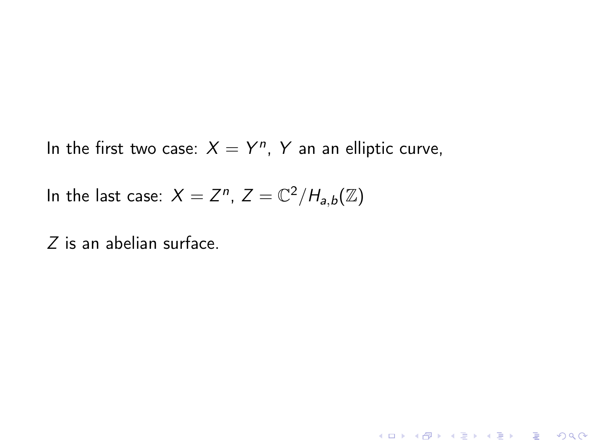In the first two case:  $X = Y^n$ , Y an an elliptic curve,

In the last case:  $X = Z^n$ ,  $Z = \mathbb{C}^2/H_{a,b}(\mathbb{Z})$ 

Z is an abelian surface.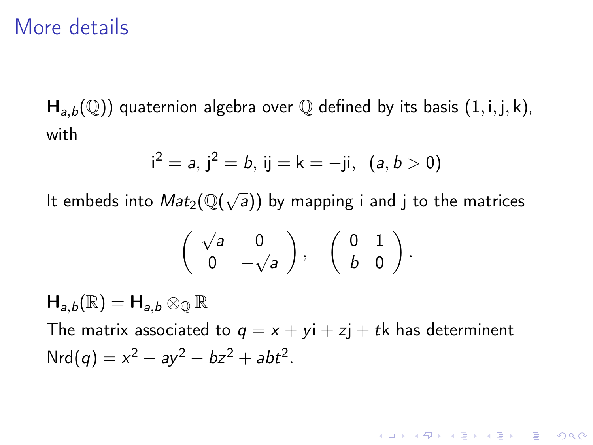## More details

 $H_{a,b}(\mathbb{Q})$  quaternion algebra over  $\mathbb Q$  defined by its basis  $(1, i, j, k)$ , with

$$
i^2 = a, j^2 = b, ij = k = -ji, (a, b > 0)
$$

It embeds into  $\mathit{Mat}_2(\mathbb{Q}(\sqrt{\mathsf{a}}))$  by mapping i and  $\mathsf j$  to the matrices

$$
\left(\begin{array}{cc}\sqrt{a} & 0\\0 & -\sqrt{a}\end{array}\right), \quad \left(\begin{array}{cc}0 & 1\\b & 0\end{array}\right).
$$

 $H_{a,b}(\mathbb{R}) = H_{a,b} \otimes_{\mathbb{Q}} \mathbb{R}$ The matrix associated to  $q = x + yi + zj + tk$  has determinent  $Nrd(q) = x^2 - ay^2 - bz^2 + abt^2$ .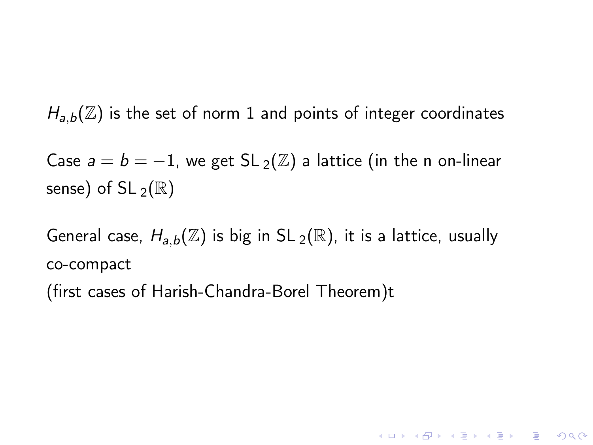$H_{a,b}(\mathbb{Z})$  is the set of norm 1 and points of integer coordinates

Case  $a = b = -1$ , we get  $SL_2(\mathbb{Z})$  a lattice (in the n on-linear sense) of  $SL_2(\mathbb{R})$ 

General case,  $H_{a,b}(\mathbb{Z})$  is big in SL  $_2(\mathbb{R})$ , it is a lattice, usually co-compact

**A DIA K PIA A BIA A BIA A Q A CA** 

(first cases of Harish-Chandra-Borel Theorem)t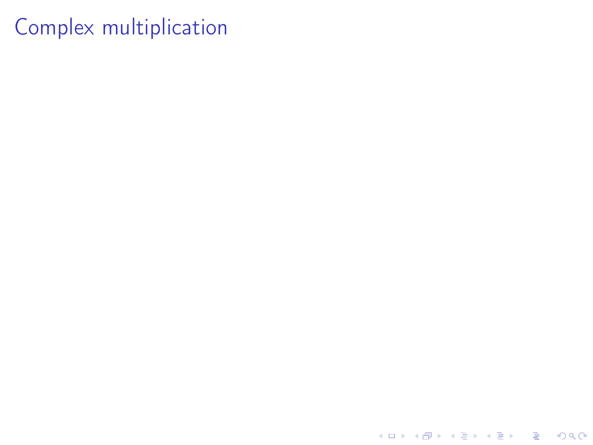# Complex multiplication

K ロ ▶ K @ ▶ K 할 ▶ K 할 ▶ | 할 | X 9 Q @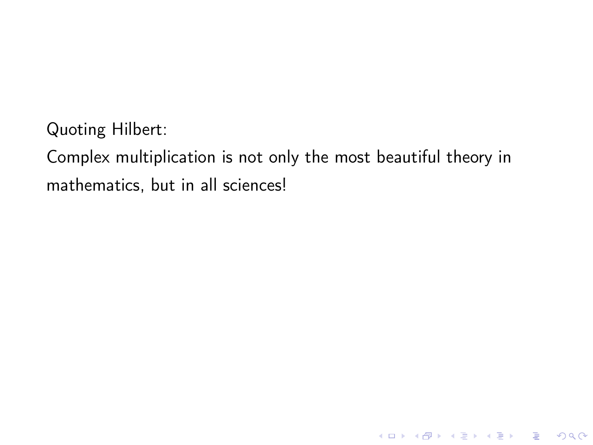Quoting Hilbert:

Complex multiplication is not only the most beautiful theory in mathematics, but in all sciences!

-<br>-<br>+ □ ▶ + < ■ ▶ + ■ ▶ + ■ ▶ → ■ → ⊙ Q Q →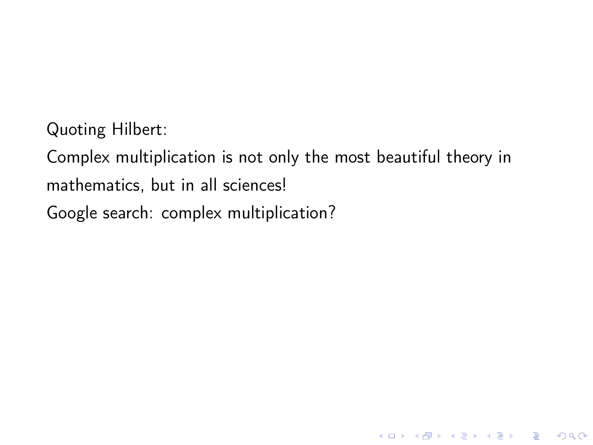Quoting Hilbert:

Complex multiplication is not only the most beautiful theory in mathematics, but in all sciences! Google search: complex multiplication?

K □ ▶ K @ ▶ K 할 ▶ K 할 ▶ | 할 | X 9 Q Q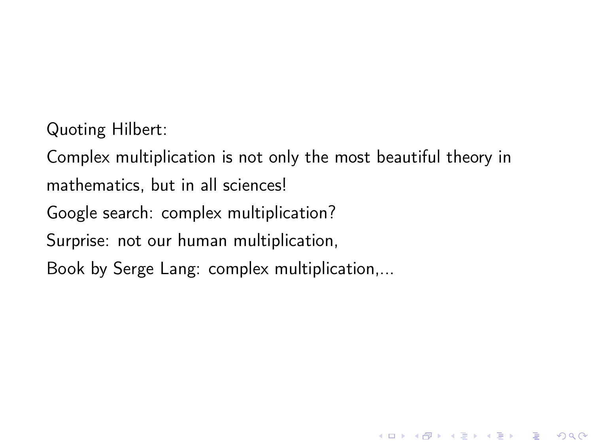Quoting Hilbert:

Complex multiplication is not only the most beautiful theory in mathematics, but in all sciences! Google search: complex multiplication? Surprise: not our human multiplication, Book by Serge Lang: complex multiplication,...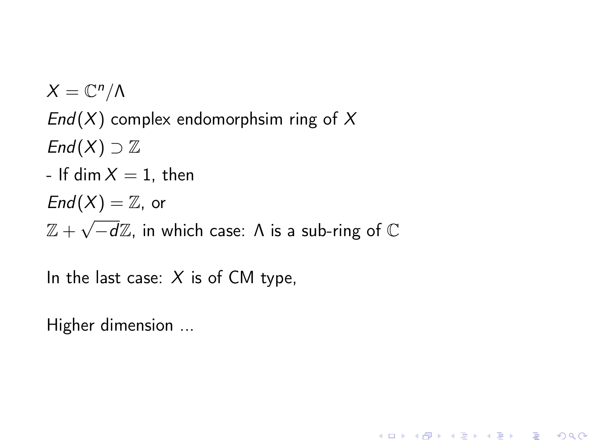$X = \mathbb{C}^n/\Lambda$  $End(X)$  complex endomorphsim ring of X  $End(X) \supset \mathbb{Z}$ - If dim  $X = 1$ , then  $End(X) = \mathbb{Z}$ , or  $\mathbb{Z}+\sqrt{-d}\mathbb{Z}$ , in which case:  $\Lambda$  is a sub-ring of  $\mathbb{C}$ 

**A DIA K PIA K E A LE A DIA K E A VION** 

In the last case:  $X$  is of CM type,

Higher dimension ...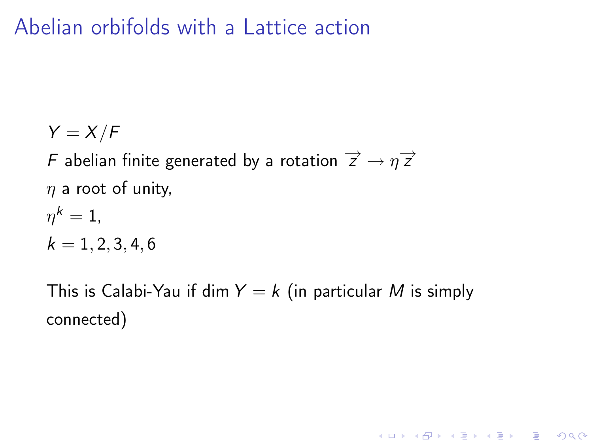Abelian orbifolds with a Lattice action

 $Y = X/F$ 

F abelian finite generated by a rotation  $\overrightarrow{z} \rightarrow \eta \overrightarrow{z}$  $\eta$  a root of unity,

$$
\eta^k=1,
$$

$$
k=1,2,3,4,6\,
$$

This is Calabi-Yau if dim  $Y = k$  (in particular M is simply connected)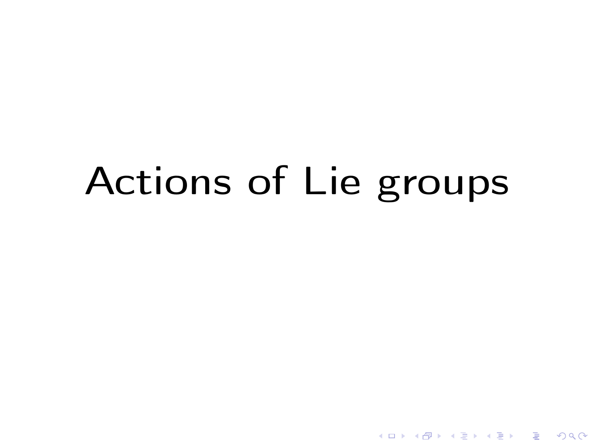# Actions of Lie groups

K ロ ▶ K @ ▶ K 할 ▶ K 할 ▶ | 할 | 19 Q Q ·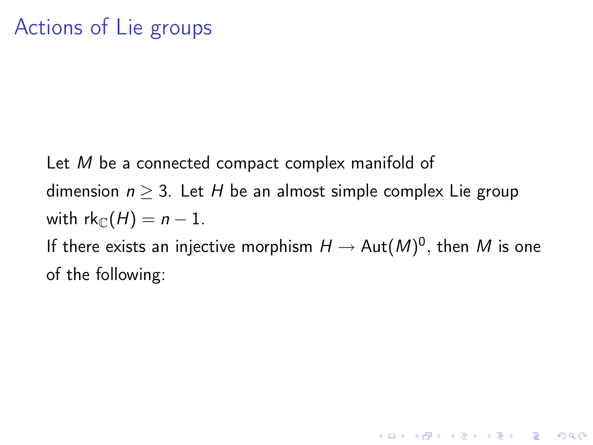Let M be a connected compact complex manifold of dimension  $n > 3$ . Let H be an almost simple complex Lie group with  $rk_{\mathbb{C}}(H) = n - 1$ . If there exists an injective morphism  $H\to \operatorname{\mathsf{Aut}}(M)^0,$  then  $M$  is one

K ロ ▶ K @ ▶ K 할 > K 할 > 1 할 > 1 ⊙ Q Q ^

of the following: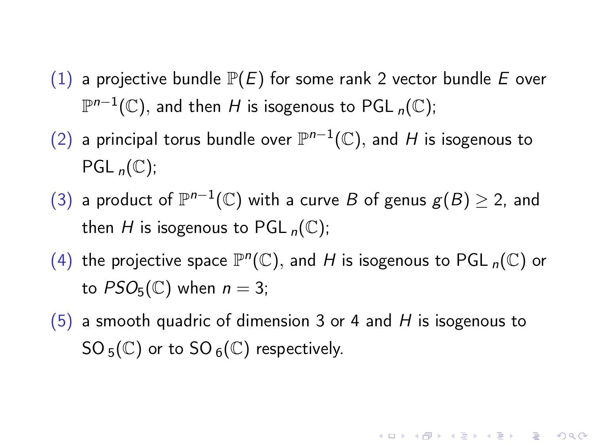- (1) a projective bundle  $\mathbb{P}(E)$  for some rank 2 vector bundle E over  $\mathbb{P}^{n-1}(\mathbb{C}),$  and then  $H$  is isogenous to PGL  $_n(\mathbb{C});$
- (2) a principal torus bundle over  $\mathbb{P}^{n-1}(\mathbb{C})$ , and H is isogenous to  $PGL_n(\mathbb{C});$
- (3) a product of  $\mathbb{P}^{n-1}(\mathbb{C})$  with a curve *B* of genus  $g(B) ≥ 2$ , and then H is isogenous to PGL  $_n(\mathbb{C})$ ;
- (4) the projective space  $\mathbb{P}^n(\mathbb{C})$ , and H is isogenous to PGL  $_n(\mathbb{C})$  or to  $PSO_5(\mathbb{C})$  when  $n = 3$ ;
- $(5)$  a smooth quadric of dimension 3 or 4 and H is isogenous to SO  $_5(\mathbb{C})$  or to SO  $_6(\mathbb{C})$  respectively.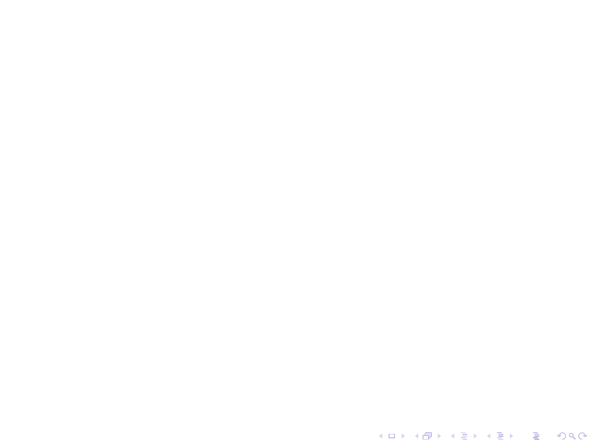イロト イ部ト イミド イミド ニミー のんぴ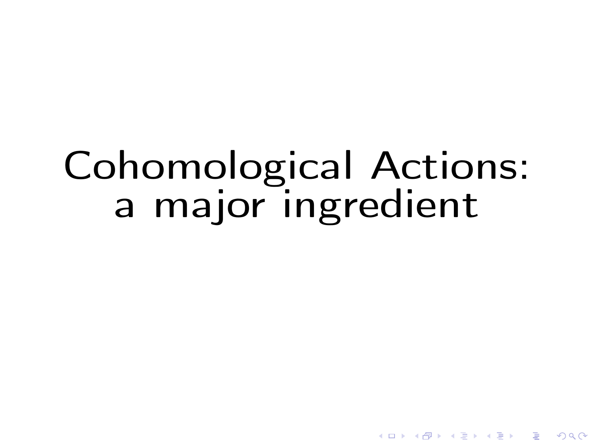# Cohomological Actions: a major ingredient

**KOR & KERKER CRAMEL**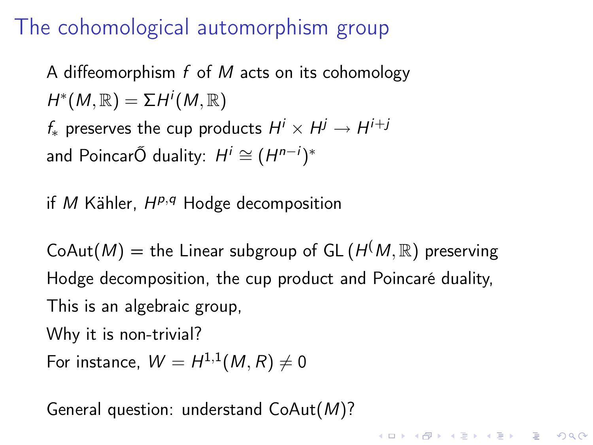# The cohomological automorphism group

A diffeomorphism  $f$  of  $M$  acts on its cohomology  $H^*(M,\mathbb{R})=\Sigma H^i(M,\mathbb{R})$ 

 $f_*$  preserves the cup products  $H^i \times H^j \rightarrow H^{i+j}$ and Poincar $\tilde{\mathrm{O}}$  duality:  $H^i \cong (H^{n-i})^*$ 

if M Kähler, H<sup>p,q</sup> Hodge decomposition

 $\mathsf{CoAut}(\mathcal{M}) = \mathsf{the}$  Linear subgroup of  $\mathsf{GL}\left(\mathcal{H}(\mathcal{M},\mathbb{R})\right)$  preserving Hodge decomposition, the cup product and Poincaré duality, This is an algebraic group, Why it is non-trivial? For instance,  $W = H^{1,1}(M,R) \neq 0$ 

**KORKAR KERKER EL VOLO** 

General question: understand CoAut(M)?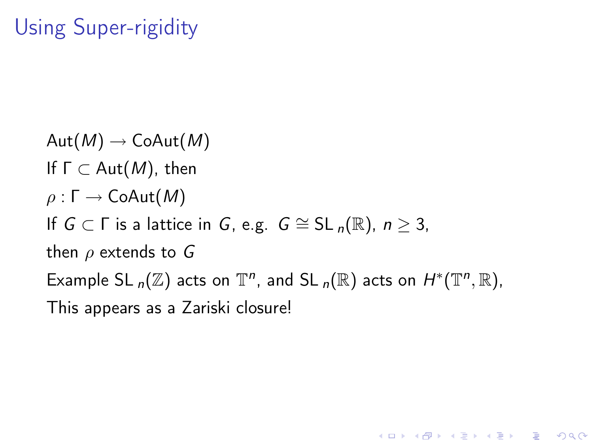$Aut(M) \to CoAut(M)$ If  $\Gamma \subset$  Aut $(M)$ , then  $\rho : \Gamma \to \mathsf{CoAut}(M)$ If  $G \subset \Gamma$  is a lattice in G, e.g.  $G \cong SL_n(\mathbb{R})$ ,  $n \geq 3$ , then  $\rho$  extends to  $G$ Example SL  $_n(\mathbb{Z})$  acts on  $\mathbb{T}^n$ , and SL  $_n(\mathbb{R})$  acts on  $H^*(\mathbb{T}^n,\mathbb{R})$ , This appears as a Zariski closure!

**KORKA REPARATION ADD**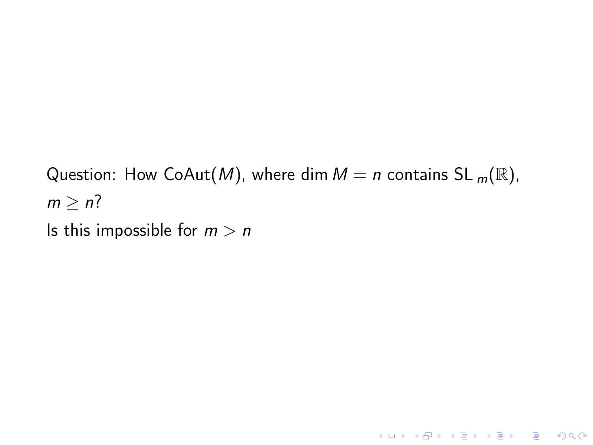Question: How CoAut(M), where dim  $M = n$  contains SL  $_m(\mathbb{R})$ ,  $m \geq n$ ? Is this impossible for  $m > n$ 

K □ ▶ K @ ▶ K 할 X K 할 X | 할 X 1 9 Q Q \*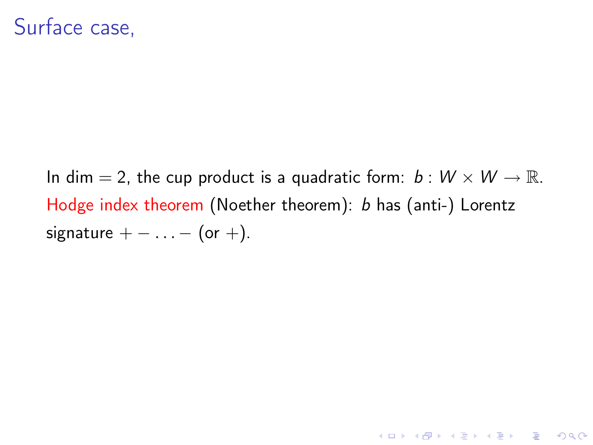# Surface case,

In dim = 2, the cup product is a quadratic form:  $b: W \times W \rightarrow \mathbb{R}$ . Hodge index theorem (Noether theorem): b has (anti-) Lorentz signature  $+ - \ldots -$  (or +).

K ロ ▶ K 레 ▶ K 레 ▶ K 레 ≯ K 게 회 게 이 및 사 이 의 O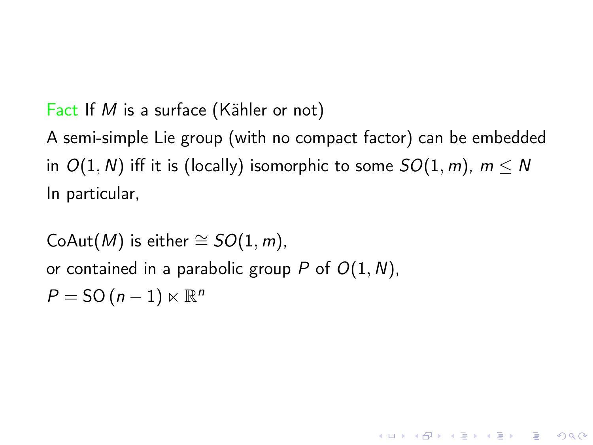# Fact If M is a surface (Kähler or not) A semi-simple Lie group (with no compact factor) can be embedded in  $O(1, N)$  iff it is (locally) isomorphic to some  $SO(1, m)$ ,  $m \leq N$ In particular,

**A DIA K PIA K E A LE A DIA K E A VION** 

CoAut(M) is either  $\cong$  SO(1, m), or contained in a parabolic group P of  $O(1, N)$ ,  $P = SO(n-1) \ltimes \mathbb{R}^n$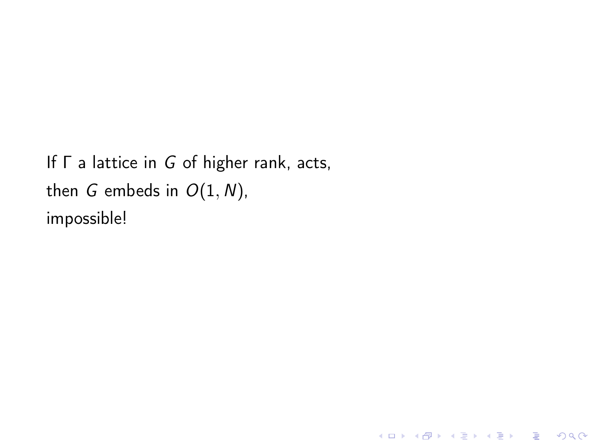If  $\Gamma$  a lattice in  $G$  of higher rank, acts, then G embeds in  $O(1, N)$ , impossible!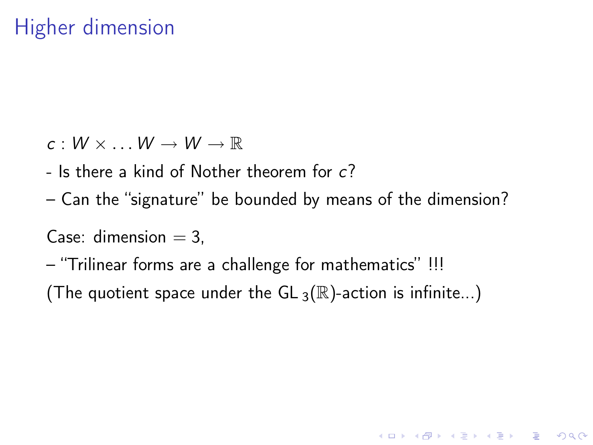# Higher dimension

- $c: W \times ... W \rightarrow W \rightarrow \mathbb{R}$
- Is there a kind of Nother theorem for c?
- Can the "signature" be bounded by means of the dimension?
- Case: dimension  $= 3$ ,
- "Trilinear forms are a challenge for mathematics" !!!
- (The quotient space under the  $GL_3(\mathbb{R})$ -action is infinite...)

K ロ ▶ K 레 ▶ K 레 ▶ K 레 ≯ K 게 회 게 이 및 사 이 의 O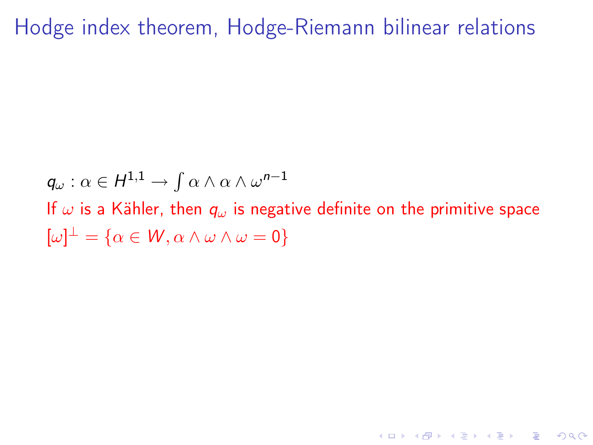Hodge index theorem, Hodge-Riemann bilinear relations

$$
q_{\omega}: \alpha \in H^{1,1} \to \int \alpha \wedge \alpha \wedge \omega^{n-1}
$$
  
If  $\omega$  is a Kähler, then  $q_{\omega}$  is negative definite on the primitive space  

$$
[\omega]^{\perp} = \{ \alpha \in W, \alpha \wedge \omega \wedge \omega = 0 \}
$$

K ロ ▶ K @ ▶ K 할 ▶ K 할 ▶ | 할 | X 9 Q @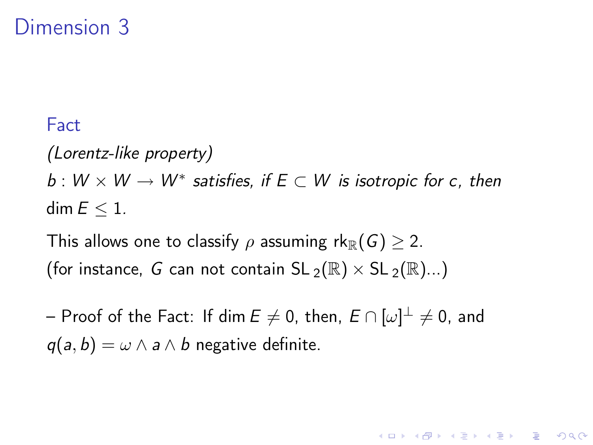## Dimension 3

### Fact

(Lorentz-like property)  $b:W\times W\rightarrow W^*$  satisfies, if  $E\subset W$  is isotropic for c, then dim  $E \leq 1$ .

This allows one to classify  $\rho$  assuming rk $_{\mathbb{R}}(G) \geq 2$ . (for instance, G can not contain  $SL_2(\mathbb{R}) \times SL_2(\mathbb{R})...$ )

 $-$  Proof of the Fact: If dim  $E\neq 0$ , then,  $E\cap [\omega]^\bot \neq 0$ , and  $q(a, b) = \omega \wedge a \wedge b$  negative definite.

**A DIA K PIA K E A LE A DIA K E A VION**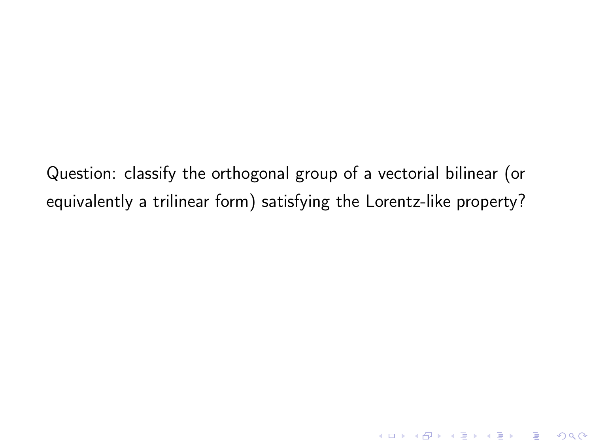Question: classify the orthogonal group of a vectorial bilinear (or equivalently a trilinear form) satisfying the Lorentz-like property?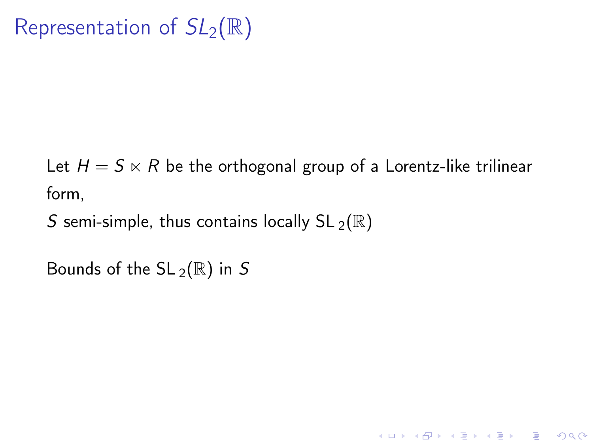# Representation of  $SL_2(\mathbb{R})$

Let  $H = S \ltimes R$  be the orthogonal group of a Lorentz-like trilinear form,

S semi-simple, thus contains locally  $SL_2(\mathbb{R})$ 

Bounds of the  $SL_2(\mathbb{R})$  in S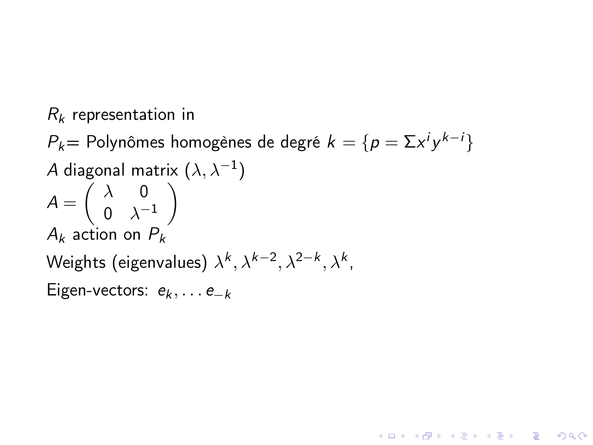#### $R_k$  representation in

 $P_k$ = Polynômes homogènes de degré  $k = \{p = \sum x^i y^{k-i}\}$ A diagonal matrix  $(\lambda,\lambda^{-1})$  $A = \begin{pmatrix} \lambda & 0 \\ 0 & \lambda \end{pmatrix}$  $0\quad\lambda^{-1}$  $\setminus$  $A_k$  action on  $P_k$ Weights (eigenvalues)  $\lambda^k, \lambda^{k-2}, \lambda^{2-k}, \lambda^k$ , Eigen-vectors:  $e_k, \ldots e_{-k}$ 

**KOD KOD KED KED E YORA**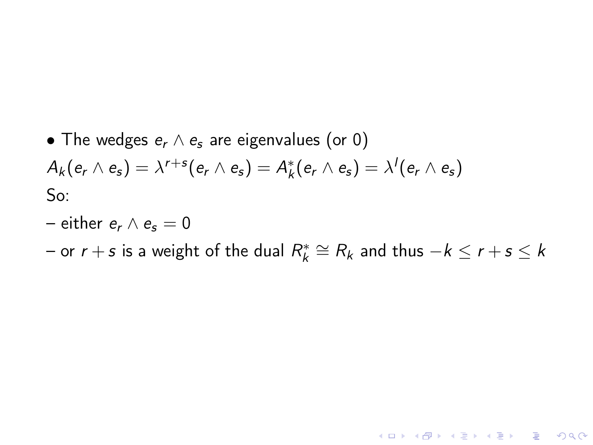• The wedges  $e_r \wedge e_s$  are eigenvalues (or 0)  $A_k(e_r\wedge e_s)=\lambda^{r+s}(e_r\wedge e_s)=A_k^*(e_r\wedge e_s)=\lambda^l(e_r\wedge e_s)$ So:

- either 
$$
e_r \wedge e_s = 0
$$

 $-$  or  $r + s$  is a weight of the dual  $R_k^* \cong R_k$  and thus  $-k \leq r + s \leq k$ 

**A DIA K PIA K E A LE A DIA K E A VION**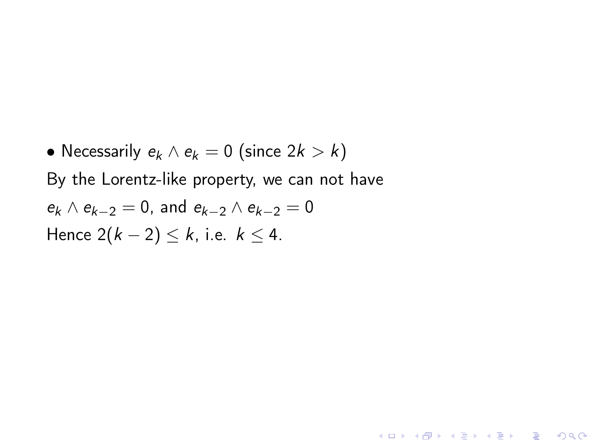• Necessarily  $e_k \wedge e_k = 0$  (since  $2k > k$ ) By the Lorentz-like property, we can not have  $e_k \wedge e_{k-2} = 0$ , and  $e_{k-2} \wedge e_{k-2} = 0$ Hence  $2(k-2) \leq k$ , i.e.  $k \leq 4$ .

**KORK STRATER STRAKES**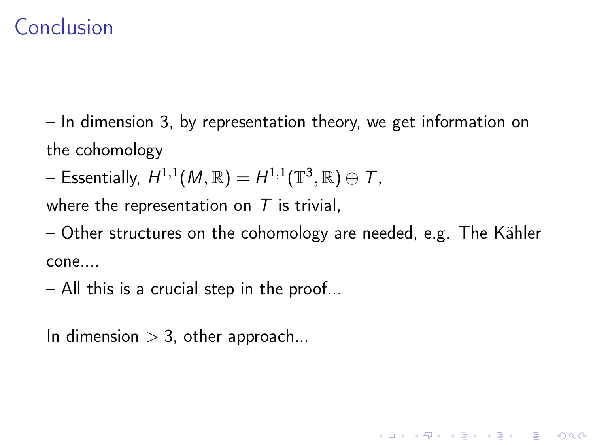## Conclusion

- In dimension 3, by representation theory, we get information on the cohomology
- $-$  Essentially,  $H^{1,1}(M,\mathbb{R})=H^{1,1}(\mathbb{T}^3,\mathbb{R})\oplus \mathcal{T},$

where the representation on  $T$  is trivial,

– Other structures on the cohomology are needed, e.g. The Kähler cone....

**KORKAR KERKER EL VOLO** 

– All this is a crucial step in the proof...

In dimension  $> 3$ , other approach...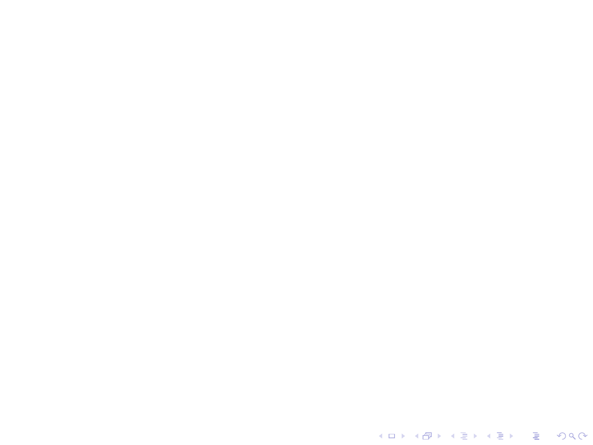イロト イ部ト イミド イミド ニミー のんぴ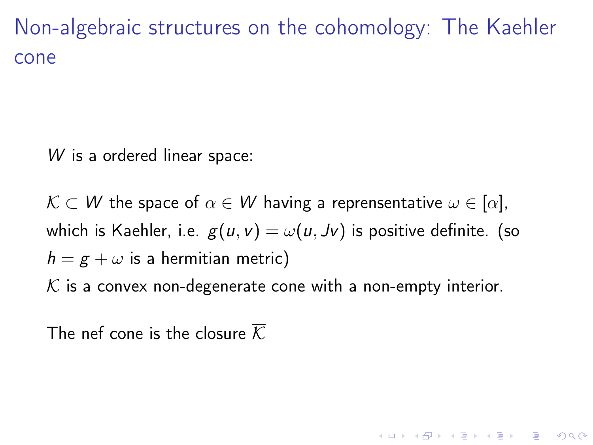Non-algebraic structures on the cohomology: The Kaehler cone

W is a ordered linear space:

 $\mathcal{K} \subset \mathcal{W}$  the space of  $\alpha \in \mathcal{W}$  having a reprensentative  $\omega \in [\alpha]$ , which is Kaehler, i.e.  $g(u, v) = \omega(u, Jv)$  is positive definite. (so  $h = g + \omega$  is a hermitian metric)

 $K$  is a convex non-degenerate cone with a non-empty interior.

**KORKA REPARATION ADD** 

The nef cone is the closure  $\overline{\mathcal{K}}$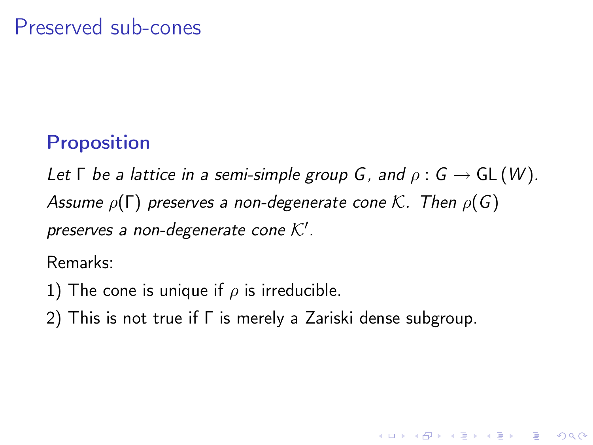### Proposition

Let  $\Gamma$  be a lattice in a semi-simple group G, and  $\rho : G \to GL(W)$ . Assume  $\rho(\Gamma)$  preserves a non-degenerate cone K. Then  $\rho(G)$ preserves a non-degenerate cone  $K'.$ 

**KORKA REPARATION ADD** 

Remarks:

- 1) The cone is unique if  $\rho$  is irreducible.
- 2) This is not true if Γ is merely a Zariski dense subgroup.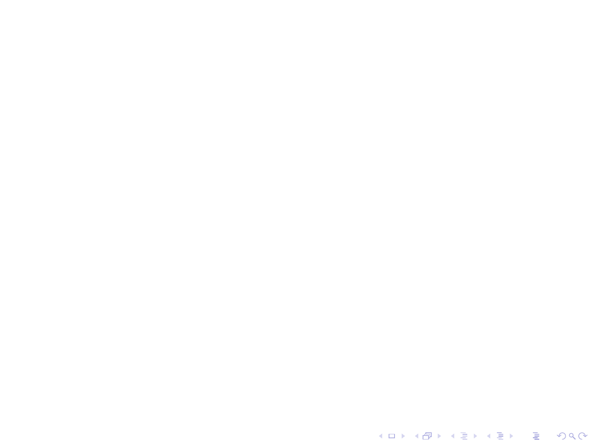イロト イ部ト イミド イミド ニミー のんぴ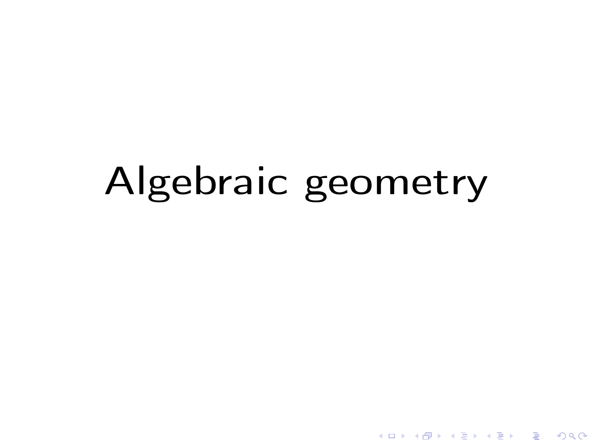# Algebraic geometry

K ロ ▶ K @ ▶ K 할 ▶ K 할 ▶ | 할 | 19 Q Q ·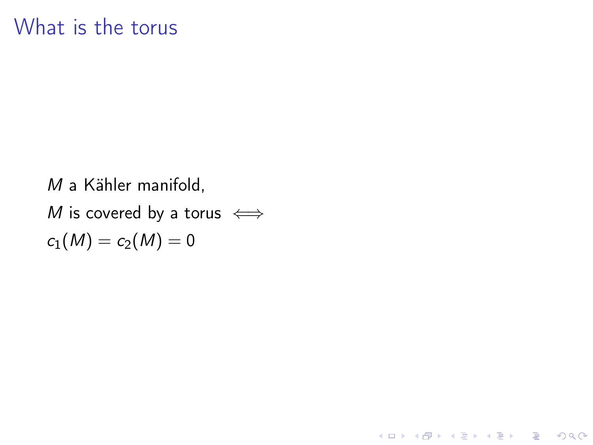#### What is the torus

M a Kähler manifold, M is covered by a torus  $\iff$  $c_1(M) = c_2(M) = 0$ 

K ロ X (日) X (日) X (日) X (日) X (日) X (日) X (日) X (日) X (日) X (日) X (日) X (日)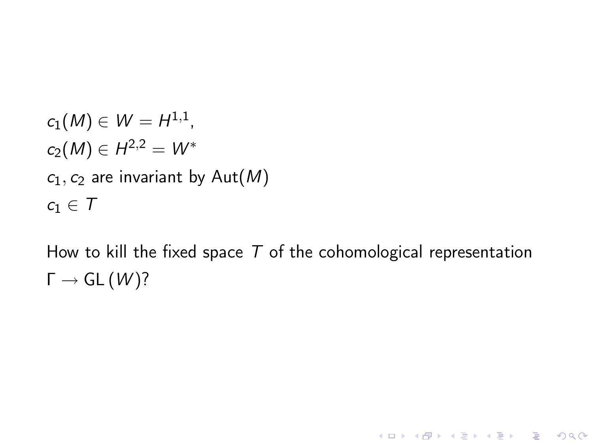$c_1(M) \in W = H^{1,1}$ ,  $c_2(M) \in H^{2,2} = W^*$  $c_1$ ,  $c_2$  are invariant by Aut $(M)$  $c_1 \in \mathcal{T}$ 

How to kill the fixed space  $T$  of the cohomological representation  $\Gamma \to GL(W)$ ?

**A DIA K PIA K E A LE A DIA K E A VION**